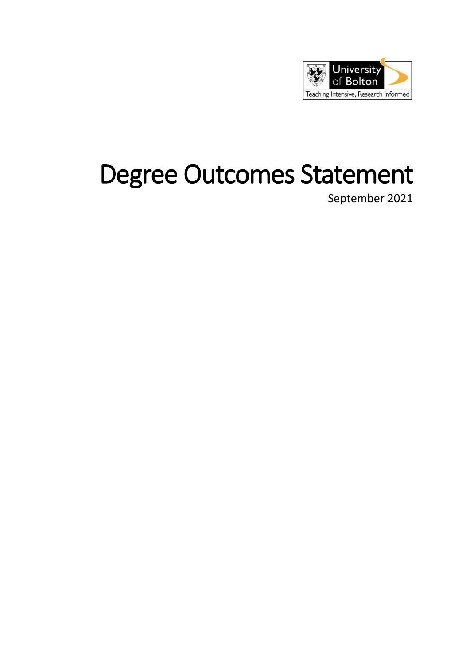

# Degree Outcomes Statement

September 2021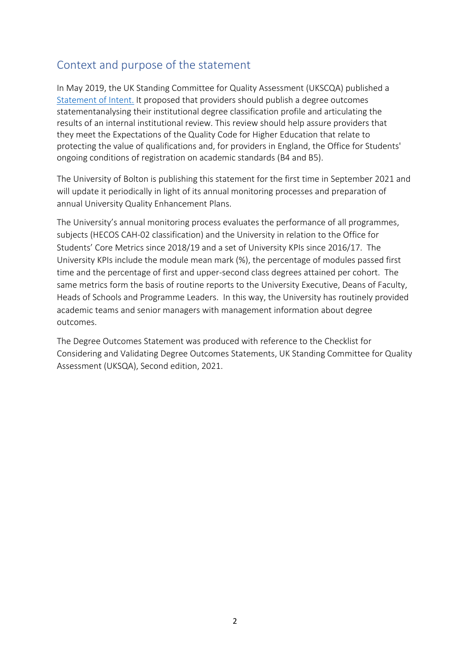## Context and purpose of the statement

In May 2019, the UK Standing Committee for Quality Assessment (UKSCQA) published a [Statement of Intent.](https://www.universitiesuk.ac.uk/policy-and-analysis/reports/Documents/2019/degree-classification-soi.pdf) It proposed that providers should publish a degree outcomes statementanalysing their institutional degree classification profile and articulating the results of an internal institutional review. This review should help assure providers that they meet the Expectations of the Quality Code for Higher Education that relate to protecting the value of qualifications and, for providers in England, the Office for Students' ongoing conditions of registration on academic standards (B4 and B5).

The University of Bolton is publishing this statement for the first time in September 2021 and will update it periodically in light of its annual monitoring processes and preparation of annual University Quality Enhancement Plans.

The University's annual monitoring process evaluates the performance of all programmes, subjects (HECOS CAH-02 classification) and the University in relation to the Office for Students' Core Metrics since 2018/19 and a set of University KPIs since 2016/17. The University KPIs include the module mean mark (%), the percentage of modules passed first time and the percentage of first and upper-second class degrees attained per cohort. The same metrics form the basis of routine reports to the University Executive, Deans of Faculty, Heads of Schools and Programme Leaders. In this way, the University has routinely provided academic teams and senior managers with management information about degree outcomes.

The Degree Outcomes Statement was produced with reference to the Checklist for Considering and Validating Degree Outcomes Statements, UK Standing Committee for Quality Assessment (UKSQA), Second edition, 2021.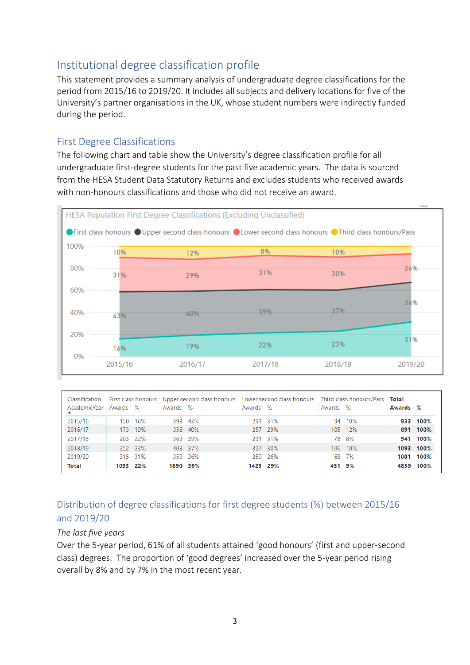## Institutional degree classification profile

This statement provides a summary analysis of undergraduate degree classifications for the period from 2015/16 to 2019/20. It includes all subjects and delivery locations for five of the University's partner organisations in the UK, whose student numbers were indirectly funded during the period.

### First Degree Classifications

The following chart and table show the University's degree classification profile for all undergraduate first-degree students for the past five academic years. The data is sourced from the HESA Student Data Statutory Returns and excludes students who received awards with non-honours classifications and those who did not receive an award.



| Classification |          |         | First class honours Upper second class honours Lower second class honours Third class honours/Pass |          |          |          |          |         | Total  |           |
|----------------|----------|---------|----------------------------------------------------------------------------------------------------|----------|----------|----------|----------|---------|--------|-----------|
| AcademicYear   | Awards % |         | Awards %                                                                                           |          | Awards % |          | Awards % |         | Awards | $\%$      |
| 2015/16        | 150      | 16%     |                                                                                                    | 398 43%  |          | 291 31%  |          | 94 10%  |        | 933 100%  |
| 2016/17        |          | 173 19% |                                                                                                    | 356 40%  |          | 257 29%  |          | 105 12% |        | 891 100%  |
| 2017/18        |          | 203 22% |                                                                                                    | 369 39%  |          | 291 31%  |          | 78 8%   |        | 941 100%  |
| 2018/19        |          | 252 23% |                                                                                                    | 408 37%  |          | 327 30%  |          | 106 10% |        | 1093 100% |
| 2019/20        |          | 315 31% |                                                                                                    | 359 36%  |          | 259 26%  |          | 68 7%   | 1001   | 100%      |
| <b>Total</b>   | 1093 22% |         |                                                                                                    | 1890 39% |          | 1425 29% | 451 9%   |         | 4859   | 100%      |

## Distribution of degree classifications for first degree students (%) between 2015/16 and 2019/20

#### *The last five years*

Over the 5-year period, 61% of all students attained 'good honours' (first and upper-second class) degrees. The proportion of 'good degrees' increased over the 5-year period rising overall by 8% and by 7% in the most recent year.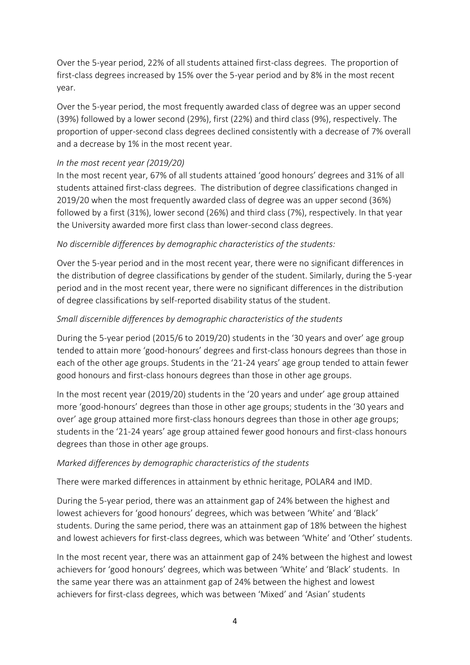Over the 5-year period, 22% of all students attained first-class degrees. The proportion of first-class degrees increased by 15% over the 5-year period and by 8% in the most recent year.

Over the 5-year period, the most frequently awarded class of degree was an upper second (39%) followed by a lower second (29%), first (22%) and third class (9%), respectively. The proportion of upper-second class degrees declined consistently with a decrease of 7% overall and a decrease by 1% in the most recent year.

#### *In the most recent year (2019/20)*

In the most recent year, 67% of all students attained 'good honours' degrees and 31% of all students attained first-class degrees. The distribution of degree classifications changed in 2019/20 when the most frequently awarded class of degree was an upper second (36%) followed by a first (31%), lower second (26%) and third class (7%), respectively. In that year the University awarded more first class than lower-second class degrees.

#### *No discernible differences by demographic characteristics of the students:*

Over the 5-year period and in the most recent year, there were no significant differences in the distribution of degree classifications by gender of the student. Similarly, during the 5-year period and in the most recent year, there were no significant differences in the distribution of degree classifications by self-reported disability status of the student.

#### *Small discernible differences by demographic characteristics of the students*

During the 5-year period (2015/6 to 2019/20) students in the '30 years and over' age group tended to attain more 'good-honours' degrees and first-class honours degrees than those in each of the other age groups. Students in the '21-24 years' age group tended to attain fewer good honours and first-class honours degrees than those in other age groups.

In the most recent year (2019/20) students in the '20 years and under' age group attained more 'good-honours' degrees than those in other age groups; students in the '30 years and over' age group attained more first-class honours degrees than those in other age groups; students in the '21-24 years' age group attained fewer good honours and first-class honours degrees than those in other age groups.

#### *Marked differences by demographic characteristics of the students*

There were marked differences in attainment by ethnic heritage, POLAR4 and IMD.

During the 5-year period, there was an attainment gap of 24% between the highest and lowest achievers for 'good honours' degrees, which was between 'White' and 'Black' students. During the same period, there was an attainment gap of 18% between the highest and lowest achievers for first-class degrees, which was between 'White' and 'Other' students.

In the most recent year, there was an attainment gap of 24% between the highest and lowest achievers for 'good honours' degrees, which was between 'White' and 'Black' students. In the same year there was an attainment gap of 24% between the highest and lowest achievers for first-class degrees, which was between 'Mixed' and 'Asian' students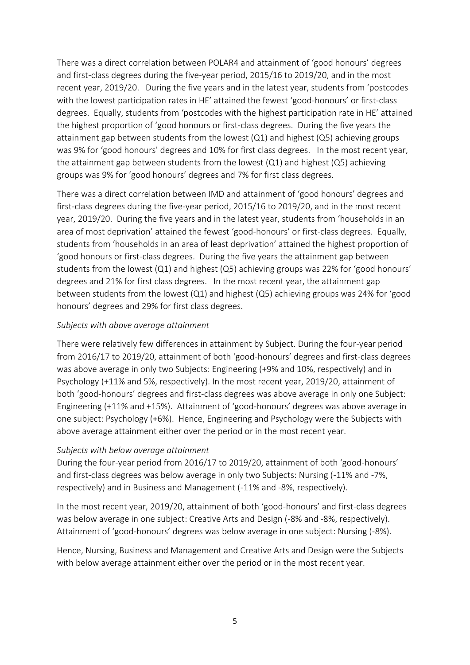There was a direct correlation between POLAR4 and attainment of 'good honours' degrees and first-class degrees during the five-year period, 2015/16 to 2019/20, and in the most recent year, 2019/20. During the five years and in the latest year, students from 'postcodes with the lowest participation rates in HE' attained the fewest 'good-honours' or first-class degrees. Equally, students from 'postcodes with the highest participation rate in HE' attained the highest proportion of 'good honours or first-class degrees. During the five years the attainment gap between students from the lowest (Q1) and highest (Q5) achieving groups was 9% for 'good honours' degrees and 10% for first class degrees. In the most recent year, the attainment gap between students from the lowest (Q1) and highest (Q5) achieving groups was 9% for 'good honours' degrees and 7% for first class degrees.

There was a direct correlation between IMD and attainment of 'good honours' degrees and first-class degrees during the five-year period, 2015/16 to 2019/20, and in the most recent year, 2019/20. During the five years and in the latest year, students from 'households in an area of most deprivation' attained the fewest 'good-honours' or first-class degrees. Equally, students from 'households in an area of least deprivation' attained the highest proportion of 'good honours or first-class degrees. During the five years the attainment gap between students from the lowest (Q1) and highest (Q5) achieving groups was 22% for 'good honours' degrees and 21% for first class degrees. In the most recent year, the attainment gap between students from the lowest (Q1) and highest (Q5) achieving groups was 24% for 'good honours' degrees and 29% for first class degrees.

#### *Subjects with above average attainment*

There were relatively few differences in attainment by Subject. During the four-year period from 2016/17 to 2019/20, attainment of both 'good-honours' degrees and first-class degrees was above average in only two Subjects: Engineering (+9% and 10%, respectively) and in Psychology (+11% and 5%, respectively). In the most recent year, 2019/20, attainment of both 'good-honours' degrees and first-class degrees was above average in only one Subject: Engineering (+11% and +15%). Attainment of 'good-honours' degrees was above average in one subject: Psychology (+6%). Hence, Engineering and Psychology were the Subjects with above average attainment either over the period or in the most recent year.

#### *Subjects with below average attainment*

During the four-year period from 2016/17 to 2019/20, attainment of both 'good-honours' and first-class degrees was below average in only two Subjects: Nursing (-11% and -7%, respectively) and in Business and Management (-11% and -8%, respectively).

In the most recent year, 2019/20, attainment of both 'good-honours' and first-class degrees was below average in one subject: Creative Arts and Design (-8% and -8%, respectively). Attainment of 'good-honours' degrees was below average in one subject: Nursing (-8%).

Hence, Nursing, Business and Management and Creative Arts and Design were the Subjects with below average attainment either over the period or in the most recent year.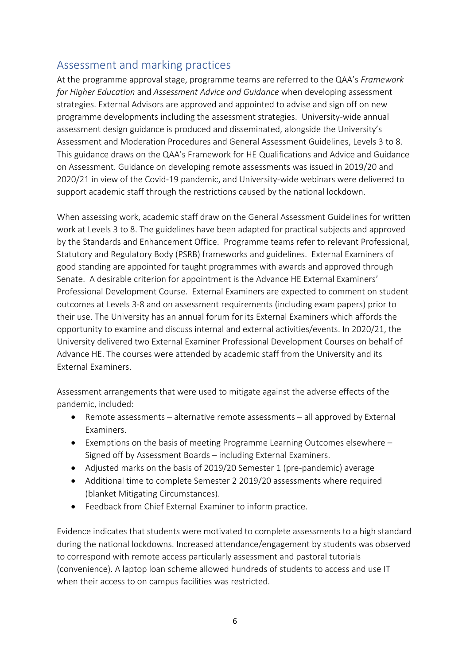## Assessment and marking practices

At the programme approval stage, programme teams are referred to the QAA's *Framework for Higher Education* and *Assessment Advice and Guidance* when developing assessment strategies. External Advisors are approved and appointed to advise and sign off on new programme developments including the assessment strategies. University-wide annual assessment design guidance is produced and disseminated, alongside the University's Assessment and Moderation Procedures and General Assessment Guidelines, Levels 3 to 8. This guidance draws on the QAA's Framework for HE Qualifications and Advice and Guidance on Assessment. Guidance on developing remote assessments was issued in 2019/20 and 2020/21 in view of the Covid-19 pandemic, and University-wide webinars were delivered to support academic staff through the restrictions caused by the national lockdown.

When assessing work, academic staff draw on the General Assessment Guidelines for written work at Levels 3 to 8. The guidelines have been adapted for practical subjects and approved by the Standards and Enhancement Office. Programme teams refer to relevant Professional, Statutory and Regulatory Body (PSRB) frameworks and guidelines. External Examiners of good standing are appointed for taught programmes with awards and approved through Senate. A desirable criterion for appointment is the Advance HE External Examiners' Professional Development Course. External Examiners are expected to comment on student outcomes at Levels 3-8 and on assessment requirements (including exam papers) prior to their use. The University has an annual forum for its External Examiners which affords the opportunity to examine and discuss internal and external activities/events. In 2020/21, the University delivered two External Examiner Professional Development Courses on behalf of Advance HE. The courses were attended by academic staff from the University and its External Examiners.

Assessment arrangements that were used to mitigate against the adverse effects of the pandemic, included:

- Remote assessments alternative remote assessments all approved by External Examiners.
- Exemptions on the basis of meeting Programme Learning Outcomes elsewhere Signed off by Assessment Boards – including External Examiners.
- Adjusted marks on the basis of 2019/20 Semester 1 (pre-pandemic) average
- Additional time to complete Semester 2 2019/20 assessments where required (blanket Mitigating Circumstances).
- Feedback from Chief External Examiner to inform practice.

Evidence indicates that students were motivated to complete assessments to a high standard during the national lockdowns. Increased attendance/engagement by students was observed to correspond with remote access particularly assessment and pastoral tutorials (convenience). A laptop loan scheme allowed hundreds of students to access and use IT when their access to on campus facilities was restricted.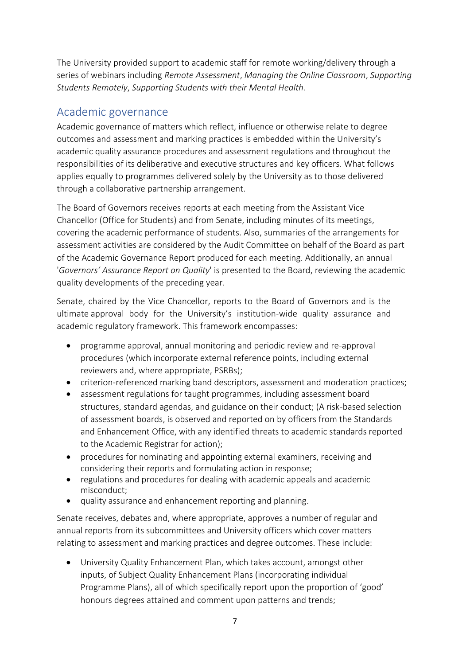The University provided support to academic staff for remote working/delivery through a series of webinars including *Remote Assessment*, *Managing the Online Classroom*, *Supporting Students Remotely*, *Supporting Students with their Mental Health*.

## Academic governance

Academic governance of matters which reflect, influence or otherwise relate to degree outcomes and assessment and marking practices is embedded within the University's academic quality assurance procedures and assessment regulations and throughout the responsibilities of its deliberative and executive structures and key officers. What follows applies equally to programmes delivered solely by the University as to those delivered through a collaborative partnership arrangement.

The Board of Governors receives reports at each meeting from the Assistant Vice Chancellor (Office for Students) and from Senate, including minutes of its meetings, covering the academic performance of students. Also, summaries of the arrangements for assessment activities are considered by the Audit Committee on behalf of the Board as part of the Academic Governance Report produced for each meeting. Additionally, an annual '*Governors' Assurance Report on Quality*' is presented to the Board, reviewing the academic quality developments of the preceding year.

Senate, chaired by the Vice Chancellor, reports to the Board of Governors and is the ultimate approval body for the University's institution-wide quality assurance and academic regulatory framework. This framework encompasses:

- programme approval, annual monitoring and periodic review and re-approval procedures (which incorporate external reference points, including external reviewers and, where appropriate, PSRBs);
- criterion-referenced marking band descriptors, assessment and moderation practices;
- assessment regulations for taught programmes, including assessment board structures, standard agendas, and guidance on their conduct; (A risk-based selection of assessment boards, is observed and reported on by officers from the Standards and Enhancement Office, with any identified threats to academic standards reported to the Academic Registrar for action);
- procedures for nominating and appointing external examiners, receiving and considering their reports and formulating action in response;
- regulations and procedures for dealing with academic appeals and academic misconduct;
- quality assurance and enhancement reporting and planning.

Senate receives, debates and, where appropriate, approves a number of regular and annual reports from its subcommittees and University officers which cover matters relating to assessment and marking practices and degree outcomes. These include:

 University Quality Enhancement Plan, which takes account, amongst other inputs, of Subject Quality Enhancement Plans (incorporating individual Programme Plans), all of which specifically report upon the proportion of 'good' honours degrees attained and comment upon patterns and trends;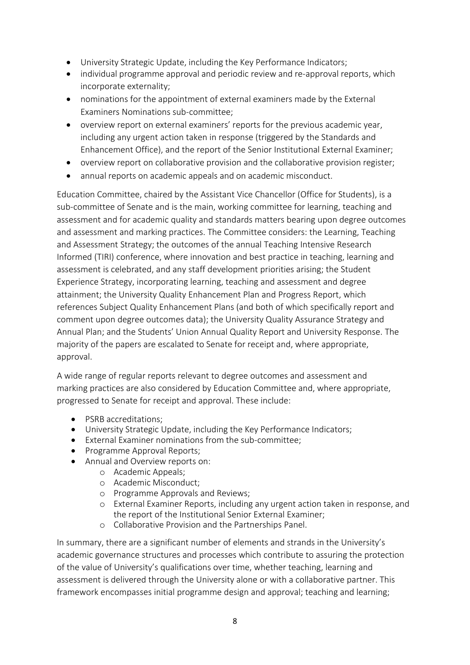- University Strategic Update, including the Key Performance Indicators;
- individual programme approval and periodic review and re-approval reports, which incorporate externality;
- nominations for the appointment of external examiners made by the External Examiners Nominations sub-committee;
- overview report on external examiners' reports for the previous academic year, including any urgent action taken in response (triggered by the Standards and Enhancement Office), and the report of the Senior Institutional External Examiner;
- overview report on collaborative provision and the collaborative provision register;
- annual reports on academic appeals and on academic misconduct.

Education Committee, chaired by the Assistant Vice Chancellor (Office for Students), is a sub-committee of Senate and is the main, working committee for learning, teaching and assessment and for academic quality and standards matters bearing upon degree outcomes and assessment and marking practices. The Committee considers: the Learning, Teaching and Assessment Strategy; the outcomes of the annual Teaching Intensive Research Informed (TIRI) conference, where innovation and best practice in teaching, learning and assessment is celebrated, and any staff development priorities arising; the Student Experience Strategy, incorporating learning, teaching and assessment and degree attainment; the University Quality Enhancement Plan and Progress Report, which references Subject Quality Enhancement Plans (and both of which specifically report and comment upon degree outcomes data); the University Quality Assurance Strategy and Annual Plan; and the Students' Union Annual Quality Report and University Response. The majority of the papers are escalated to Senate for receipt and, where appropriate, approval.

A wide range of regular reports relevant to degree outcomes and assessment and marking practices are also considered by Education Committee and, where appropriate, progressed to Senate for receipt and approval. These include:

- PSRB accreditations;
- University Strategic Update, including the Key Performance Indicators;
- External Examiner nominations from the sub-committee;
- Programme Approval Reports;
- Annual and Overview reports on:
	- o Academic Appeals;
	- o Academic Misconduct;
	- o Programme Approvals and Reviews;
	- o External Examiner Reports, including any urgent action taken in response, and the report of the Institutional Senior External Examiner;
	- o Collaborative Provision and the Partnerships Panel.

In summary, there are a significant number of elements and strands in the University's academic governance structures and processes which contribute to assuring the protection of the value of University's qualifications over time, whether teaching, learning and assessment is delivered through the University alone or with a collaborative partner. This framework encompasses initial programme design and approval; teaching and learning;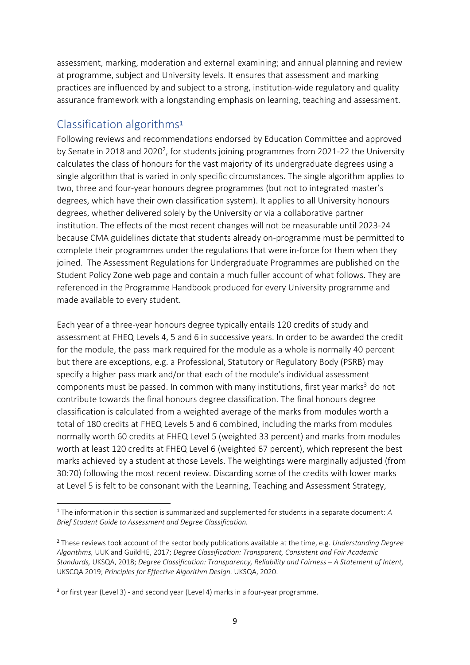assessment, marking, moderation and external examining; and annual planning and review at programme, subject and University levels. It ensures that assessment and marking practices are influenced by and subject to a strong, institution-wide regulatory and quality assurance framework with a longstanding emphasis on learning, teaching and assessment.

## Classification algorithms<sup>1</sup>

**.** 

Following reviews and recommendations endorsed by Education Committee and approved by Senate in 2018 and 2020<sup>2</sup>, for students joining programmes from 2021-22 the University calculates the class of honours for the vast majority of its undergraduate degrees using a single algorithm that is varied in only specific circumstances. The single algorithm applies to two, three and four-year honours degree programmes (but not to integrated master's degrees, which have their own classification system). It applies to all University honours degrees, whether delivered solely by the University or via a collaborative partner institution. The effects of the most recent changes will not be measurable until 2023-24 because CMA guidelines dictate that students already on-programme must be permitted to complete their programmes under the regulations that were in-force for them when they joined. The Assessment Regulations for Undergraduate Programmes are published on the Student Policy Zone web page and contain a much fuller account of what follows. They are referenced in the Programme Handbook produced for every University programme and made available to every student.

Each year of a three-year honours degree typically entails 120 credits of study and assessment at FHEQ Levels 4, 5 and 6 in successive years. In order to be awarded the credit for the module, the pass mark required for the module as a whole is normally 40 percent but there are exceptions, e.g. a Professional, Statutory or Regulatory Body (PSRB) may specify a higher pass mark and/or that each of the module's individual assessment components must be passed. In common with many institutions, first year marks<sup>3</sup> do not contribute towards the final honours degree classification. The final honours degree classification is calculated from a weighted average of the marks from modules worth a total of 180 credits at FHEQ Levels 5 and 6 combined, including the marks from modules normally worth 60 credits at FHEQ Level 5 (weighted 33 percent) and marks from modules worth at least 120 credits at FHEQ Level 6 (weighted 67 percent), which represent the best marks achieved by a student at those Levels. The weightings were marginally adjusted (from 30:70) following the most recent review. Discarding some of the credits with lower marks at Level 5 is felt to be consonant with the Learning, Teaching and Assessment Strategy,

<sup>1</sup> The information in this section is summarized and supplemented for students in a separate document: *A Brief Student Guide to Assessment and Degree Classification.*

<sup>2</sup> These reviews took account of the sector body publications available at the time, e.g. *Understanding Degree Algorithms,* UUK and GuildHE, 2017; *Degree Classification: Transparent, Consistent and Fair Academic Standards,* UKSQA, 2018; *Degree Classification: Transparency, Reliability and Fairness – A Statement of Intent,*  UKSCQA 2019; *Principles for Effective Algorithm Design.* UKSQA, 2020.

<sup>&</sup>lt;sup>3</sup> or first year (Level 3) - and second year (Level 4) marks in a four-year programme.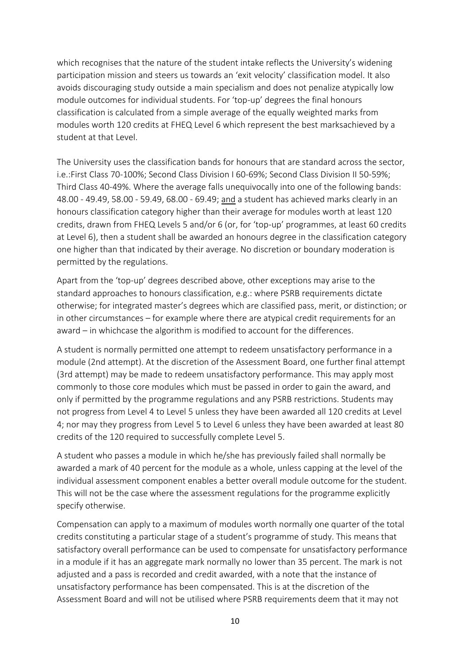which recognises that the nature of the student intake reflects the University's widening participation mission and steers us towards an 'exit velocity' classification model. It also avoids discouraging study outside a main specialism and does not penalize atypically low module outcomes for individual students. For 'top-up' degrees the final honours classification is calculated from a simple average of the equally weighted marks from modules worth 120 credits at FHEQ Level 6 which represent the best marksachieved by a student at that Level.

The University uses the classification bands for honours that are standard across the sector, i.e.:First Class 70-100%; Second Class Division I 60-69%; Second Class Division II 50-59%; Third Class 40-49%. Where the average falls unequivocally into one of the following bands: 48.00 - 49.49, 58.00 - 59.49, 68.00 - 69.49; and a student has achieved marks clearly in an honours classification category higher than their average for modules worth at least 120 credits, drawn from FHEQ Levels 5 and/or 6 (or, for 'top-up' programmes, at least 60 credits at Level 6), then a student shall be awarded an honours degree in the classification category one higher than that indicated by their average. No discretion or boundary moderation is permitted by the regulations.

Apart from the 'top-up' degrees described above, other exceptions may arise to the standard approaches to honours classification, e.g.: where PSRB requirements dictate otherwise; for integrated master's degrees which are classified pass, merit, or distinction; or in other circumstances – for example where there are atypical credit requirements for an award – in whichcase the algorithm is modified to account for the differences.

A student is normally permitted one attempt to redeem unsatisfactory performance in a module (2nd attempt). At the discretion of the Assessment Board, one further final attempt (3rd attempt) may be made to redeem unsatisfactory performance. This may apply most commonly to those core modules which must be passed in order to gain the award, and only if permitted by the programme regulations and any PSRB restrictions. Students may not progress from Level 4 to Level 5 unless they have been awarded all 120 credits at Level 4; nor may they progress from Level 5 to Level 6 unless they have been awarded at least 80 credits of the 120 required to successfully complete Level 5.

A student who passes a module in which he/she has previously failed shall normally be awarded a mark of 40 percent for the module as a whole, unless capping at the level of the individual assessment component enables a better overall module outcome for the student. This will not be the case where the assessment regulations for the programme explicitly specify otherwise.

Compensation can apply to a maximum of modules worth normally one quarter of the total credits constituting a particular stage of a student's programme of study. This means that satisfactory overall performance can be used to compensate for unsatisfactory performance in a module if it has an aggregate mark normally no lower than 35 percent. The mark is not adjusted and a pass is recorded and credit awarded, with a note that the instance of unsatisfactory performance has been compensated. This is at the discretion of the Assessment Board and will not be utilised where PSRB requirements deem that it may not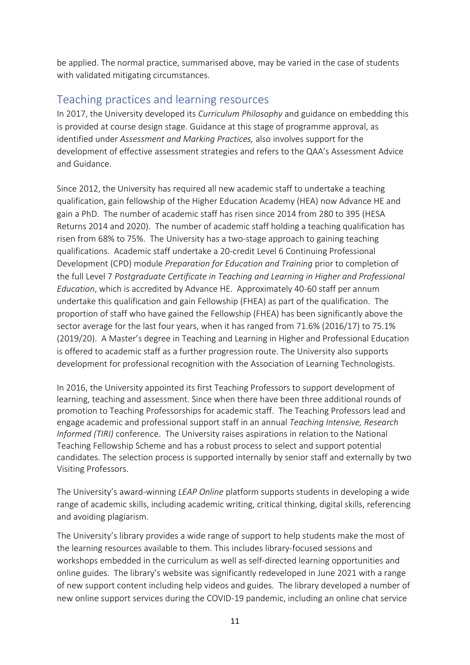be applied. The normal practice, summarised above, may be varied in the case of students with validated mitigating circumstances.

## Teaching practices and learning resources

In 2017, the University developed its *Curriculum Philosophy* and guidance on embedding this is provided at course design stage. Guidance at this stage of programme approval, as identified under *Assessment and Marking Practices,* also involves support for the development of effective assessment strategies and refers to the QAA's Assessment Advice and Guidance.

Since 2012, the University has required all new academic staff to undertake a teaching qualification, gain fellowship of the Higher Education Academy (HEA) now Advance HE and gain a PhD. The number of academic staff has risen since 2014 from 280 to 395 (HESA Returns 2014 and 2020). The number of academic staff holding a teaching qualification has risen from 68% to 75%. The University has a two-stage approach to gaining teaching qualifications. Academic staff undertake a 20-credit Level 6 Continuing Professional Development (CPD) module *Preparation for Education and Training* prior to completion of the full Level 7 *Postgraduate Certificate in Teaching and Learning in Higher and Professional Education*, which is accredited by Advance HE. Approximately 40-60 staff per annum undertake this qualification and gain Fellowship (FHEA) as part of the qualification. The proportion of staff who have gained the Fellowship (FHEA) has been significantly above the sector average for the last four years, when it has ranged from 71.6% (2016/17) to 75.1% (2019/20). A Master's degree in Teaching and Learning in Higher and Professional Education is offered to academic staff as a further progression route. The University also supports development for professional recognition with the Association of Learning Technologists.

In 2016, the University appointed its first Teaching Professors to support development of learning, teaching and assessment. Since when there have been three additional rounds of promotion to Teaching Professorships for academic staff. The Teaching Professors lead and engage academic and professional support staff in an annual *Teaching Intensive, Research Informed (TIRI)* conference. The University raises aspirations in relation to the National Teaching Fellowship Scheme and has a robust process to select and support potential candidates. The selection process is supported internally by senior staff and externally by two Visiting Professors.

The University's award-winning *LEAP Online* platform supports students in developing a wide range of academic skills, including academic writing, critical thinking, digital skills, referencing and avoiding plagiarism.

The University's library provides a wide range of support to help students make the most of the learning resources available to them. This includes library-focused sessions and workshops embedded in the curriculum as well as self-directed learning opportunities and online guides. The library's website was significantly redeveloped in June 2021 with a range of new support content including help videos and guides. The library developed a number of new online support services during the COVID-19 pandemic, including an online chat service